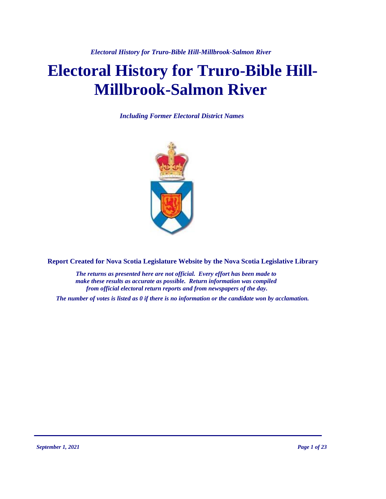*Electoral History for Truro-Bible Hill-Millbrook-Salmon River*

# **Electoral History for Truro-Bible Hill-Millbrook-Salmon River**

*Including Former Electoral District Names*



**Report Created for Nova Scotia Legislature Website by the Nova Scotia Legislative Library**

*The returns as presented here are not official. Every effort has been made to make these results as accurate as possible. Return information was compiled from official electoral return reports and from newspapers of the day.*

*The number of votes is listed as 0 if there is no information or the candidate won by acclamation.*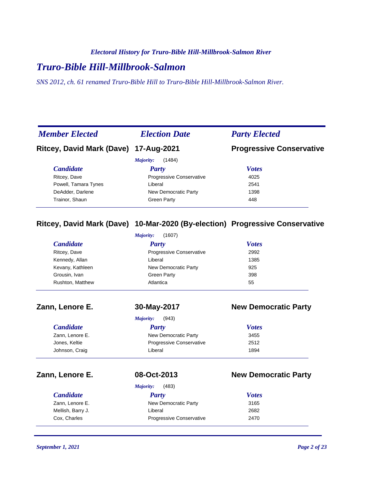#### *Electoral History for Truro-Bible Hill-Millbrook-Salmon River*

# *Truro-Bible Hill-Millbrook-Salmon*

*SNS 2012, ch. 61 renamed Truro-Bible Hill to Truro-Bible Hill-Millbrook-Salmon River.*

| <b>Member Elected</b>                 | <b>Election Date</b>            | <b>Party Elected</b>            |
|---------------------------------------|---------------------------------|---------------------------------|
| Ritcey, David Mark (Dave) 17-Aug-2021 |                                 | <b>Progressive Conservative</b> |
|                                       | (1484)<br>Majority:             |                                 |
| <b>Candidate</b>                      | Party                           | <b>Votes</b>                    |
| Ritcey, Dave                          | <b>Progressive Conservative</b> | 4025                            |
| Powell, Tamara Tynes                  | Liberal                         | 2541                            |
| DeAdder, Darlene                      | New Democratic Party            | 1398                            |
| Trainor, Shaun                        | Green Party                     | 448                             |

### **Ritcey, David Mark (Dave) 10-Mar-2020 (By-election) Progressive Conservative**

|                   | (1607)<br>Majority:             |                             |
|-------------------|---------------------------------|-----------------------------|
| <b>Candidate</b>  | <b>Party</b>                    | <b>Votes</b>                |
| Ritcey, Dave      | Progressive Conservative        | 2992                        |
| Kennedy, Allan    | Liberal                         | 1385                        |
| Kevany, Kathleen  | New Democratic Party            | 925                         |
| Grousin, Ivan     | <b>Green Party</b>              | 398                         |
| Rushton, Matthew  | Atlantica                       | 55                          |
| Zann, Lenore E.   | 30-May-2017                     | <b>New Democratic Party</b> |
|                   | (943)<br>Majority:              |                             |
| <b>Candidate</b>  | <b>Party</b>                    | <b>Votes</b>                |
| Zann, Lenore E.   | New Democratic Party            | 3455                        |
| Jones, Keltie     | Progressive Conservative        | 2512                        |
| Johnson, Craig    | Liberal                         | 1894                        |
| Zann, Lenore E.   | 08-Oct-2013                     | <b>New Democratic Party</b> |
|                   | (483)<br>Majority:              |                             |
| <b>Candidate</b>  | <b>Party</b>                    | <b>Votes</b>                |
| Zann, Lenore E.   | New Democratic Party            | 3165                        |
| Mellish, Barry J. | Liberal                         | 2682                        |
| Cox, Charles      | <b>Progressive Conservative</b> | 2470                        |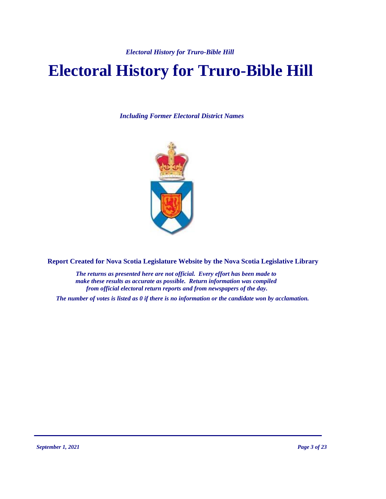# **Electoral History for Truro-Bible Hill**

*Including Former Electoral District Names*



**Report Created for Nova Scotia Legislature Website by the Nova Scotia Legislative Library**

*The returns as presented here are not official. Every effort has been made to make these results as accurate as possible. Return information was compiled from official electoral return reports and from newspapers of the day.*

*The number of votes is listed as 0 if there is no information or the candidate won by acclamation.*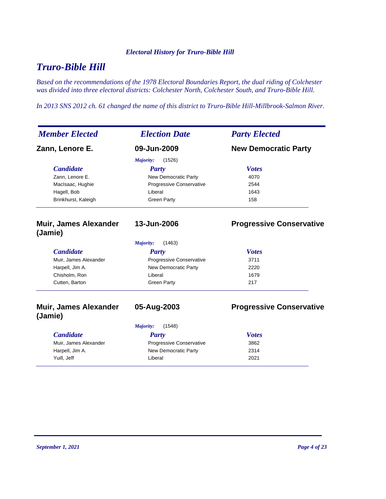# *Truro-Bible Hill*

*Based on the recommendations of the 1978 Electoral Boundaries Report, the dual riding of Colchester was divided into three electoral districts: Colchester North, Colchester South, and Truro-Bible Hill.*

*In 2013 SNS 2012 ch. 61 changed the name of this district to Truro-Bible Hill-Millbrook-Salmon River.*

| <b>Member Elected</b>                   | <b>Election Date</b>       | <b>Party Elected</b>            |
|-----------------------------------------|----------------------------|---------------------------------|
| Zann, Lenore E.                         | 09-Jun-2009                | <b>New Democratic Party</b>     |
|                                         | Majority:<br>(1526)        |                                 |
| <b>Candidate</b>                        | <b>Party</b>               | <b>Votes</b>                    |
| Zann, Lenore E.                         | New Democratic Party       | 4070                            |
| MacIsaac, Hughie                        | Progressive Conservative   | 2544                            |
| Hagell, Bob                             | Liberal                    | 1643                            |
| Brinkhurst, Kaleigh                     | <b>Green Party</b>         | 158                             |
| Muir, James Alexander<br>(Jamie)        | 13-Jun-2006                | <b>Progressive Conservative</b> |
|                                         | Majority:<br>(1463)        |                                 |
| <b>Candidate</b>                        | <b>Party</b>               | <b>Votes</b>                    |
| Muir, James Alexander                   | Progressive Conservative   | 3711                            |
| Harpell, Jim A.                         | New Democratic Party       | 2220                            |
| Chisholm, Ron                           | Liberal                    | 1679                            |
| Cutten, Barton                          | <b>Green Party</b>         | 217                             |
| <b>Muir, James Alexander</b><br>(Jamie) | 05-Aug-2003                | <b>Progressive Conservative</b> |
|                                         | (1548)<br><b>Majority:</b> |                                 |
| <b>Candidate</b>                        | Party                      | <b>Votes</b>                    |
| Muir, James Alexander                   | Progressive Conservative   | 3862                            |
| Harpell, Jim A.                         | New Democratic Party       | 2314                            |
| Yuill, Jeff                             | Liberal                    | 2021                            |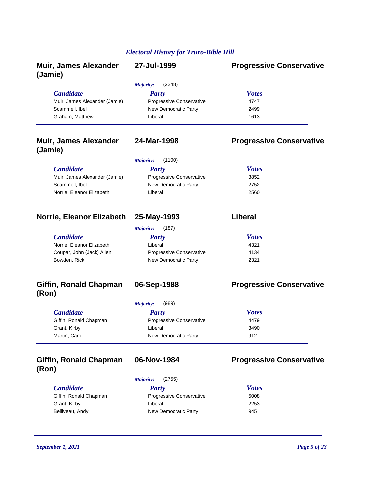| <b>Muir, James Alexander</b><br>(Jamie) | 27-Jul-1999                | <b>Progressive Conservative</b> |
|-----------------------------------------|----------------------------|---------------------------------|
|                                         | <b>Majority:</b><br>(2248) |                                 |
| <b>Candidate</b>                        | <b>Party</b>               | <b>Votes</b>                    |
| Muir, James Alexander (Jamie)           | Progressive Conservative   | 4747                            |
| Scammell, Ibel                          | New Democratic Party       | 2499                            |
| Graham, Matthew                         | Liberal                    | 1613                            |
| <b>Muir, James Alexander</b><br>(Jamie) | 24-Mar-1998                | <b>Progressive Conservative</b> |
|                                         | <b>Majority:</b><br>(1100) |                                 |
| <b>Candidate</b>                        | <b>Party</b>               | <b>Votes</b>                    |
| Muir, James Alexander (Jamie)           | Progressive Conservative   | 3852                            |
| Scammell, Ibel                          | New Democratic Party       | 2752                            |
| Norrie, Eleanor Elizabeth               | Liberal                    | 2560                            |
| Norrie, Eleanor Elizabeth 25-May-1993   |                            | Liberal                         |
|                                         | <b>Majority:</b><br>(187)  |                                 |
| <b>Candidate</b>                        | <b>Party</b>               | <b>Votes</b>                    |
| Norrie, Eleanor Elizabeth               | Liberal                    | 4321                            |
| Coupar, John (Jack) Allen               | Progressive Conservative   | 4134                            |
| Bowden, Rick                            | New Democratic Party       | 2321                            |
| Giffin, Ronald Chapman<br>(Ron)         | 06-Sep-1988                | <b>Progressive Conservative</b> |
|                                         | Majority:<br>(989)         |                                 |
| <b>Candidate</b>                        | <b>Party</b>               | <b>Votes</b>                    |
| Giffin, Ronald Chapman                  | Progressive Conservative   | 4479                            |
| Grant, Kirby                            | Liberal                    | 3490                            |
| Martin, Carol                           | New Democratic Party       | 912                             |
| Giffin, Ronald Chapman<br>(Ron)         | 06-Nov-1984                | <b>Progressive Conservative</b> |
|                                         | Majority:<br>(2755)        |                                 |
| <b>Candidate</b>                        | <b>Party</b>               | <b>Votes</b>                    |
| Giffin, Ronald Chapman                  | Progressive Conservative   | 5008                            |
| Grant, Kirby                            | Liberal                    | 2253                            |
| Belliveau, Andy                         | New Democratic Party       | 945                             |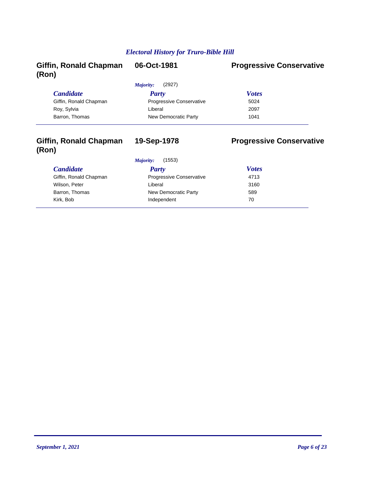| <b>Giffin, Ronald Chapman</b><br>(Ron) | 06-Oct-1981                     | <b>Progressive Conservative</b> |
|----------------------------------------|---------------------------------|---------------------------------|
|                                        | (2927)<br>Majority:             |                                 |
| <i>Candidate</i>                       | Party                           | <b>Votes</b>                    |
| Giffin, Ronald Chapman                 | <b>Progressive Conservative</b> | 5024                            |
| Roy, Sylvia                            | Liberal                         | 2097                            |
| Barron, Thomas                         | New Democratic Party            | 1041                            |
|                                        |                                 |                                 |

### **Giffin, Ronald Chapman (Ron)**

# **19-Sep-1978 Progressive Conservative**

## $C$ *andidate*

Giffin, Ronald Chapman Wilson, Peter Barron, Thomas Kirk, Bob **Independent** 70

#### *Majority:* (1553)

| Party                           | <b>Votes</b> |  |
|---------------------------------|--------------|--|
| <b>Progressive Conservative</b> | 4713         |  |
| Liberal                         | 3160         |  |
| New Democratic Party            | 589          |  |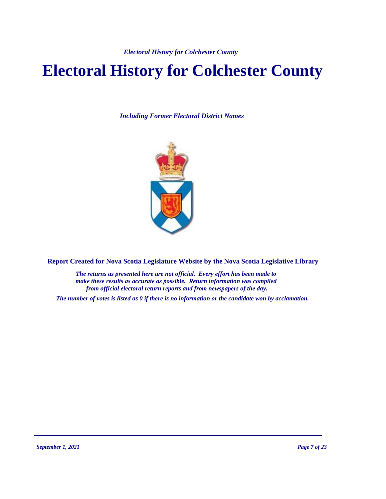# **Electoral History for Colchester County**

*Including Former Electoral District Names*



**Report Created for Nova Scotia Legislature Website by the Nova Scotia Legislative Library**

*The returns as presented here are not official. Every effort has been made to make these results as accurate as possible. Return information was compiled from official electoral return reports and from newspapers of the day.*

*The number of votes is listed as 0 if there is no information or the candidate won by acclamation.*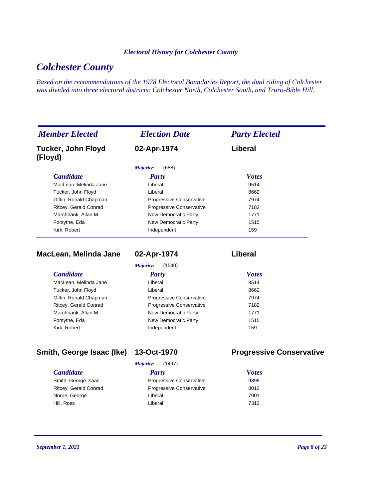# *Colchester County*

*Based on the recommendations of the 1978 Electoral Boundaries Report, the dual riding of Colchester was divided into three electoral districts: Colchester North, Colchester South, and Truro-Bible Hill.*

| <b>Member Elected</b>                | <b>Election Date</b>            | <b>Party Elected</b> |  |
|--------------------------------------|---------------------------------|----------------------|--|
| <b>Tucker, John Floyd</b><br>(Floyd) | 02-Apr-1974                     | Liberal              |  |
|                                      | (688)<br>Majority:              |                      |  |
| <b>Candidate</b>                     | Party                           | <b>Votes</b>         |  |
| MacLean, Melinda Jane                | Liberal                         | 9514                 |  |
| Tucker, John Floyd                   | Liberal                         | 8662                 |  |
| Giffin, Ronald Chapman               | <b>Progressive Conservative</b> | 7974                 |  |
| Ritcey, Gerald Conrad                | Progressive Conservative        | 7182                 |  |
| Marchbank, Allan M.                  | New Democratic Party            | 1771                 |  |
| Forsythe, Eda                        | New Democratic Party            | 1515                 |  |
| Kirk, Robert                         | Independent                     | 159                  |  |

| MacLean, Melinda Jane |  |  |  |  |
|-----------------------|--|--|--|--|
|-----------------------|--|--|--|--|

**MacLean, Melinda Jane 02-Apr-1974 Liberal**

*Majority:* (1540)

| <b>Candidate</b>       | <b>Party</b>                    | <b>Votes</b> |
|------------------------|---------------------------------|--------------|
| MacLean, Melinda Jane  | Liberal                         | 9514         |
| Tucker, John Floyd     | Liberal                         | 8662         |
| Giffin, Ronald Chapman | <b>Progressive Conservative</b> | 7974         |
| Ritcey, Gerald Conrad  | Progressive Conservative        | 7182         |
| Marchbank, Allan M.    | New Democratic Party            | 1771         |
| Forsythe, Eda          | New Democratic Party            | 1515         |
| Kirk, Robert           | Independent                     | 159          |

## **Smith, George Isaac (Ike) 13-Oct-1970 Progressive Conservative**

| (1497)<br>Majority:             |              |  |
|---------------------------------|--------------|--|
| <b>Party</b>                    | <b>Votes</b> |  |
| <b>Progressive Conservative</b> | 9398         |  |
| <b>Progressive Conservative</b> | 8012         |  |
| Liberal                         | 7901         |  |
| Liberal                         | 7313         |  |
|                                 |              |  |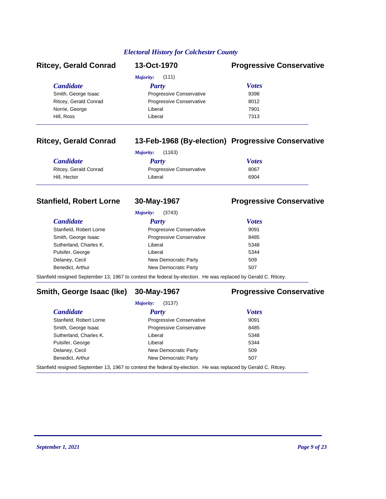| <b>Ritcey, Gerald Conrad</b> | 13-Oct-1970                     | <b>Progressive Conservative</b> |
|------------------------------|---------------------------------|---------------------------------|
|                              | Majority:<br>(111)              |                                 |
| <i>Candidate</i>             | <b>Party</b>                    | <b>Votes</b>                    |
| Smith, George Isaac          | <b>Progressive Conservative</b> | 9398                            |
| Ritcey, Gerald Conrad        | <b>Progressive Conservative</b> | 8012                            |
| Norrie, George               | Liberal                         | 7901                            |
| Hill, Ross                   | Liberal                         | 7313                            |
|                              |                                 |                                 |

### **Ritcey, Gerald Conrad 13-Feb-1968 (By-election) Progressive Conservative**

| (1163)<br>Majority:   |                                 |              |
|-----------------------|---------------------------------|--------------|
| <b>Candidate</b>      | Party                           | <b>Votes</b> |
| Ritcey, Gerald Conrad | <b>Progressive Conservative</b> | 8067         |
| Hill. Hector          | Liberal                         | 6904         |

### **Stanfield, Robert Lorne 30-May-1967 Progressive Conservative**

*Majority:* (3743)

#### *Candidate Party Votes* Stanfield, Robert Lorne **Progressive Conservative** 9091 Smith, George Isaac **Progressive Conservative** 8485 Sutherland, Charles K. Charles K. Charles Controller Liberal 5348 Pulsifer, George **Liberal** Liberal **1996** Liberal 5344 Delaney, Cecil **New Democratic Party** 509 Benedict, Arthur **New Democratic Party 507**

Stanfield resigned September 13, 1967 to contest the federal by-election. He was replaced by Gerald C. Ritcey.

### **Smith, George Isaac (Ike) 30-May-1967 Progressive Conservative**

*Majority:* (3137)

| <b>Candidate</b>                                                                                               | Party                           | <b>Votes</b> |
|----------------------------------------------------------------------------------------------------------------|---------------------------------|--------------|
| Stanfield, Robert Lorne                                                                                        | <b>Progressive Conservative</b> | 9091         |
| Smith, George Isaac                                                                                            | <b>Progressive Conservative</b> | 8485         |
| Sutherland, Charles K.                                                                                         | Liberal                         | 5348         |
| Pulsifer, George                                                                                               | Liberal                         | 5344         |
| Delaney, Cecil                                                                                                 | New Democratic Party            | 509          |
| Benedict, Arthur                                                                                               | New Democratic Party            | 507          |
| Stanfield resigned September 13, 1967 to contest the federal by-election. He was replaced by Gerald C. Ritcey. |                                 |              |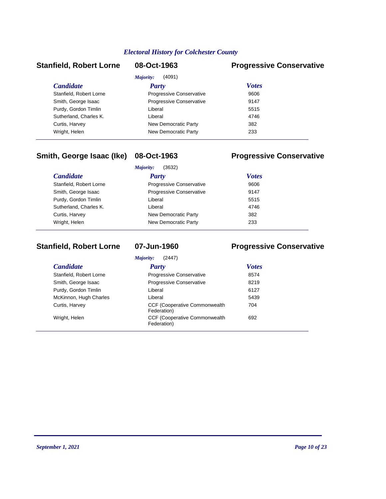### **Stanfield, Robert Lorne 08-Oct-1963 Progressive Conservative**

| <i>Majority:</i><br>(4091) |                                 |              |  |
|----------------------------|---------------------------------|--------------|--|
| <b>Candidate</b>           | <b>Party</b>                    | <b>Votes</b> |  |
| Stanfield, Robert Lorne    | <b>Progressive Conservative</b> | 9606         |  |
| Smith, George Isaac        | Progressive Conservative        | 9147         |  |
| Purdy, Gordon Timlin       | Liberal                         | 5515         |  |
| Sutherland, Charles K.     | Liberal                         | 4746         |  |
| Curtis, Harvey             | New Democratic Party            | 382          |  |
| Wright, Helen              | New Democratic Party            | 233          |  |
|                            |                                 |              |  |

### **Smith, George Isaac (Ike) 08-Oct-1963 Progressive Conservative**

|                         | (3632)<br>Majority:             |              |  |
|-------------------------|---------------------------------|--------------|--|
| <i>Candidate</i>        | Party                           | <b>Votes</b> |  |
| Stanfield, Robert Lorne | <b>Progressive Conservative</b> | 9606         |  |
| Smith, George Isaac     | Progressive Conservative        | 9147         |  |
| Purdy, Gordon Timlin    | Liberal                         | 5515         |  |
| Sutherland, Charles K.  | Liberal                         | 4746         |  |
| Curtis, Harvey          | New Democratic Party            | 382          |  |
| Wright, Helen           | New Democratic Party            | 233          |  |
|                         |                                 |              |  |

### **Stanfield, Robert Lorne 07-Jun-1960 Progressive Conservative**

| Majority:<br>(2447)     |                                                      |              |  |
|-------------------------|------------------------------------------------------|--------------|--|
| <b>Candidate</b>        | <b>Party</b>                                         | <b>Votes</b> |  |
| Stanfield, Robert Lorne | Progressive Conservative                             | 8574         |  |
| Smith, George Isaac     | Progressive Conservative                             | 8219         |  |
| Purdy, Gordon Timlin    | Liberal                                              | 6127         |  |
| McKinnon, Hugh Charles  | Liberal                                              | 5439         |  |
| Curtis, Harvey          | <b>CCF (Cooperative Commonwealth)</b><br>Federation) | 704          |  |
| Wright, Helen           | <b>CCF (Cooperative Commonwealth)</b><br>Federation) | 692          |  |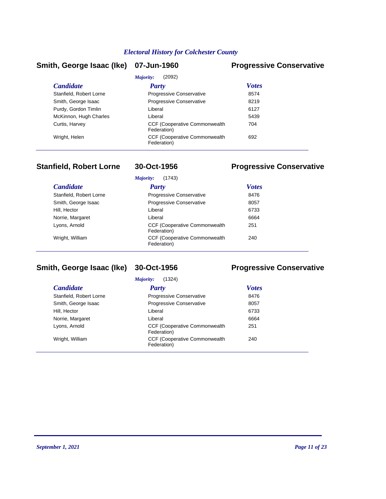### **Smith, George Isaac (Ike) 07-Jun-1960 Progressive Conservative**

| (2092)<br>Majority:     |                                                      |              |  |
|-------------------------|------------------------------------------------------|--------------|--|
| <i>Candidate</i>        | Party                                                | <b>Votes</b> |  |
| Stanfield, Robert Lorne | Progressive Conservative                             | 8574         |  |
| Smith, George Isaac     | <b>Progressive Conservative</b>                      | 8219         |  |
| Purdy, Gordon Timlin    | Liberal                                              | 6127         |  |
| McKinnon, Hugh Charles  | Liberal                                              | 5439         |  |
| Curtis, Harvey          | <b>CCF (Cooperative Commonwealth)</b><br>Federation) | 704          |  |
| Wright, Helen           | <b>CCF (Cooperative Commonwealth)</b><br>Federation) | 692          |  |
|                         |                                                      |              |  |

### **Stanfield, Robert Lorne 30-Oct-1956 Progressive Conservative**

|                         | Majority:<br>(1743)                                  |              |
|-------------------------|------------------------------------------------------|--------------|
| <b>Candidate</b>        | Party                                                | <b>Votes</b> |
| Stanfield, Robert Lorne | Progressive Conservative                             | 8476         |
| Smith, George Isaac     | Progressive Conservative                             | 8057         |
| Hill, Hector            | Liberal                                              | 6733         |
| Norrie, Margaret        | Liberal                                              | 6664         |
| Lyons, Arnold           | <b>CCF (Cooperative Commonwealth)</b><br>Federation) | 251          |
| Wright, William         | <b>CCF (Cooperative Commonwealth)</b><br>Federation) | 240          |

### **Smith, George Isaac (Ike) 30-Oct-1956 Progressive Conservative**

*Majority:* (1324)

| <i>Majority:</i><br>(1324) |                                                      |              |  |
|----------------------------|------------------------------------------------------|--------------|--|
| <b>Candidate</b>           | <b>Party</b>                                         | <i>Votes</i> |  |
| Stanfield, Robert Lorne    | <b>Progressive Conservative</b>                      | 8476         |  |
| Smith, George Isaac        | Progressive Conservative                             | 8057         |  |
| Hill, Hector               | Liberal                                              | 6733         |  |
| Norrie, Margaret           | Liberal                                              | 6664         |  |
| Lyons, Arnold              | <b>CCF (Cooperative Commonwealth)</b><br>Federation) | 251          |  |
| Wright, William            | <b>CCF (Cooperative Commonwealth)</b><br>Federation) | 240          |  |
|                            |                                                      |              |  |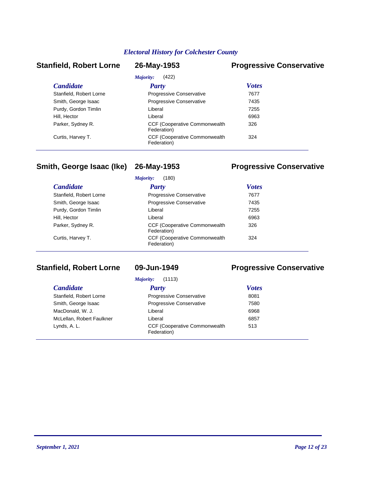### **Stanfield, Robert Lorne 26-May-1953 Progressive Conservative**

| <b>Candidate</b>        | <b>Party</b>                                         | <b>Votes</b> |
|-------------------------|------------------------------------------------------|--------------|
| Stanfield, Robert Lorne | <b>Progressive Conservative</b>                      | 7677         |
| Smith, George Isaac     | Progressive Conservative                             | 7435         |
| Purdy, Gordon Timlin    | Liberal                                              | 7255         |
| Hill, Hector            | Liberal                                              | 6963         |
| Parker, Sydney R.       | <b>CCF (Cooperative Commonwealth)</b><br>Federation) | 326          |
| Curtis, Harvey T.       | <b>CCF (Cooperative Commonwealth)</b><br>Federation) | 324          |

### **Smith, George Isaac (Ike) 26-May-1953 Progressive Conservative**

#### *Candidate Party Votes Majority:* (180) Stanfield, Robert Lorne **Progressive Conservative** 7677 Smith, George Isaac **Progressive Conservative** 7435 Purdy, Gordon Timlin **Example 2018** Liberal Liberal 2255 Hill, Hector **Contract Contract Contract Contract Contract Contract Contract Contract Contract Contract Contract Contract Contract Contract Contract Contract Contract Contract Contract Contract Contract Contract Contract C** CCF (Cooperative Commonwealth Parker, Sydney R. 326 Federation) CCF (Cooperative Commonwealth Curtis, Harvey T. 324 Federation)

### **Stanfield, Robert Lorne 09-Jun-1949 Progressive Conservative**

| (1113)<br>Majority:       |                                                      |              |  |
|---------------------------|------------------------------------------------------|--------------|--|
| <b>Candidate</b>          | Party                                                | <b>Votes</b> |  |
| Stanfield, Robert Lorne   | <b>Progressive Conservative</b>                      | 8081         |  |
| Smith, George Isaac       | <b>Progressive Conservative</b>                      | 7580         |  |
| MacDonald, W. J.          | Liberal                                              | 6968         |  |
| McLellan, Robert Faulkner | Liberal                                              | 6857         |  |
| Lynds, A. L.              | <b>CCF (Cooperative Commonwealth)</b><br>Federation) | 513          |  |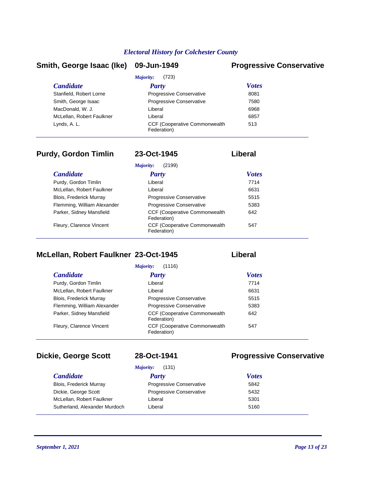#### **Smith, George Isaac (Ike) 09-Jun-1949 Progressive Conservative**

| (723)<br>Majority:        |                                                      |              |  |
|---------------------------|------------------------------------------------------|--------------|--|
| <b>Candidate</b>          | Party                                                | <b>Votes</b> |  |
| Stanfield, Robert Lorne   | Progressive Conservative                             | 8081         |  |
| Smith, George Isaac       | <b>Progressive Conservative</b>                      | 7580         |  |
| MacDonald, W. J.          | Liberal                                              | 6968         |  |
| McLellan, Robert Faulkner | Liberal                                              | 6857         |  |
| Lynds, A. L.              | <b>CCF (Cooperative Commonwealth)</b><br>Federation) | 513          |  |

### **Purdy, Gordon Timlin 23-Oct-1945 Liberal**

| (2199)<br>Majority:            |                                                      |              |  |
|--------------------------------|------------------------------------------------------|--------------|--|
| <b>Candidate</b>               | <b>Party</b>                                         | <b>Votes</b> |  |
| Purdy, Gordon Timlin           | Liberal                                              | 7714         |  |
| McLellan, Robert Faulkner      | Liberal                                              | 6631         |  |
| <b>Blois, Frederick Murray</b> | <b>Progressive Conservative</b>                      | 5515         |  |
| Flemming, William Alexander    | Progressive Conservative                             | 5383         |  |
| Parker, Sidney Mansfield       | <b>CCF (Cooperative Commonwealth)</b><br>Federation) | 642          |  |
| Fleury, Clarence Vincent       | <b>CCF (Cooperative Commonwealth)</b><br>Federation) | 547          |  |

### **McLellan, Robert Faulkner 23-Oct-1945 Liberal**

| (1116)<br>Majority:            |                                                      |              |
|--------------------------------|------------------------------------------------------|--------------|
| <i>Candidate</i>               | Party                                                | <b>Votes</b> |
| Purdy, Gordon Timlin           | Liberal                                              | 7714         |
| McLellan, Robert Faulkner      | Liberal                                              | 6631         |
| <b>Blois, Frederick Murray</b> | Progressive Conservative                             | 5515         |
| Flemming, William Alexander    | Progressive Conservative                             | 5383         |
| Parker, Sidney Mansfield       | <b>CCF (Cooperative Commonwealth)</b><br>Federation) | 642          |
| Fleury, Clarence Vincent       | <b>CCF (Cooperative Commonwealth)</b><br>Federation) | 547          |

### **Dickie, George Scott 28-Oct-1941 Progressive Conservative**

Dickie, George Scott Progressive Conservative 5432 McLellan, Robert Faulkner **Faulkner** 1. Liberal Sutherland, Alexander Murdoch Liberal

# *Majority:* (131)

*Candidate Party Votes* Blois, Frederick Murray **Progressive Conservative** 5842

| ◡╌   |
|------|
| 5301 |
| 5160 |
|      |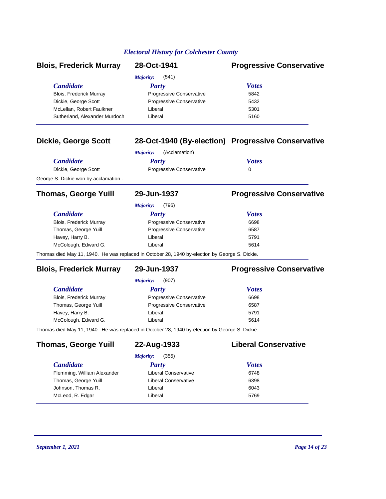| <b>Blois, Frederick Murray</b>       | 28-Oct-1941                                                                                    | <b>Progressive Conservative</b>                    |
|--------------------------------------|------------------------------------------------------------------------------------------------|----------------------------------------------------|
|                                      | <b>Majority:</b><br>(541)                                                                      |                                                    |
| <b>Candidate</b>                     | <b>Party</b>                                                                                   | <b>Votes</b>                                       |
| Blois, Frederick Murray              | Progressive Conservative                                                                       | 5842                                               |
| Dickie, George Scott                 | Progressive Conservative                                                                       | 5432                                               |
| McLellan, Robert Faulkner            | Liberal                                                                                        | 5301                                               |
| Sutherland, Alexander Murdoch        | Liberal                                                                                        | 5160                                               |
| <b>Dickie, George Scott</b>          |                                                                                                | 28-Oct-1940 (By-election) Progressive Conservative |
|                                      | (Acclamation)<br><b>Majority:</b>                                                              |                                                    |
| <b>Candidate</b>                     | <b>Party</b>                                                                                   | <b>Votes</b>                                       |
| Dickie, George Scott                 | Progressive Conservative                                                                       | 0                                                  |
| George S. Dickie won by acclamation. |                                                                                                |                                                    |
| <b>Thomas, George Yuill</b>          | 29-Jun-1937                                                                                    | <b>Progressive Conservative</b>                    |
|                                      | (796)<br><b>Majority:</b>                                                                      |                                                    |
| <b>Candidate</b>                     | <b>Party</b>                                                                                   | <b>Votes</b>                                       |
| Blois, Frederick Murray              | Progressive Conservative                                                                       | 6698                                               |
| Thomas, George Yuill                 | Progressive Conservative                                                                       | 6587                                               |
| Havey, Harry B.                      | Liberal                                                                                        | 5791                                               |
| McColough, Edward G.                 | Liberal                                                                                        | 5614                                               |
|                                      | Thomas died May 11, 1940. He was replaced in October 28, 1940 by-election by George S. Dickie. |                                                    |
| <b>Blois, Frederick Murray</b>       | 29-Jun-1937                                                                                    | <b>Progressive Conservative</b>                    |
|                                      | <b>Majority:</b><br>(907)                                                                      |                                                    |
| <b>Candidate</b>                     | <b>Party</b>                                                                                   | <b>Votes</b>                                       |
| Blois, Frederick Murray              | Progressive Conservative                                                                       | 6698                                               |
| Thomas, George Yuill                 | Progressive Conservative                                                                       | 6587                                               |
| Havey, Harry B.                      | Liberal                                                                                        | 5791                                               |
| McColough, Edward G.                 | Liberal                                                                                        | 5614                                               |
|                                      | Thomas died May 11, 1940. He was replaced in October 28, 1940 by-election by George S. Dickie. |                                                    |
| <b>Thomas, George Yuill</b>          | 22-Aug-1933                                                                                    | <b>Liberal Conservative</b>                        |
|                                      | (355)<br>Majority:                                                                             |                                                    |
| <b>Candidate</b>                     | <b>Party</b>                                                                                   | <b>Votes</b>                                       |
| Flemming, William Alexander          | Liberal Conservative                                                                           | 6748                                               |
| Thomas, George Yuill                 | <b>Liberal Conservative</b>                                                                    | 6398                                               |
| Johnson, Thomas R.                   | Liberal                                                                                        | 6043                                               |
| McLeod, R. Edgar                     | Liberal                                                                                        | 5769                                               |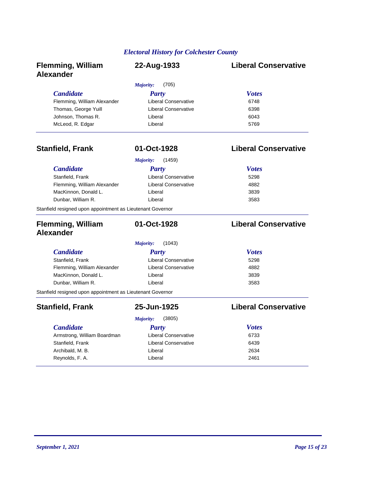| <b>Flemming, William</b><br><b>Alexander</b>               | 22-Aug-1933                 | <b>Liberal Conservative</b> |
|------------------------------------------------------------|-----------------------------|-----------------------------|
|                                                            | (705)<br>Majority:          |                             |
| <b>Candidate</b>                                           | Party                       | <b>Votes</b>                |
| Flemming, William Alexander                                | Liberal Conservative        | 6748                        |
| Thomas, George Yuill                                       | Liberal Conservative        | 6398                        |
| Johnson, Thomas R.                                         | Liberal                     | 6043                        |
| McLeod, R. Edgar                                           | Liberal                     | 5769                        |
| <b>Stanfield, Frank</b>                                    | 01-Oct-1928                 | <b>Liberal Conservative</b> |
|                                                            | (1459)<br>Majority:         |                             |
| <b>Candidate</b>                                           | Party                       | <b>Votes</b>                |
| Stanfield, Frank                                           | <b>Liberal Conservative</b> | 5298                        |
| Flemming, William Alexander                                | <b>Liberal Conservative</b> | 4882                        |
| MacKinnon, Donald L.                                       | Liberal                     | 3839                        |
| Dunbar, William R.                                         | Liberal                     | 3583                        |
| Stanfield resigned upon appointment as Lieutenant Governor |                             |                             |
| <b>Flemming, William</b><br><b>Alexander</b>               | 01-Oct-1928                 | <b>Liberal Conservative</b> |
|                                                            | (1043)<br><b>Majority:</b>  |                             |
| <b>Candidate</b>                                           | Party                       | <b>Votes</b>                |
| Stanfield, Frank                                           | <b>Liberal Conservative</b> | 5298                        |
| Flemming, William Alexander                                | <b>Liberal Conservative</b> | 4882                        |
| MacKinnon, Donald L.                                       | Liberal                     | 3839                        |
| Dunbar, William R.                                         | Liberal                     | 3583                        |
| Stanfield resigned upon appointment as Lieutenant Governor |                             |                             |
| <b>Stanfield, Frank</b>                                    | 25-Jun-1925                 | <b>Liberal Conservative</b> |
|                                                            | (3805)<br>Majority:         |                             |
| <b>Candidate</b>                                           | Party                       | <b>Votes</b>                |
| Armstrong, William Boardman                                | <b>Liberal Conservative</b> | 6733                        |
| Stanfield, Frank                                           | <b>Liberal Conservative</b> | 6439                        |
| Archibald, M. B.                                           | Liberal                     | 2634                        |
| Reynolds, F. A.                                            | Liberal                     | 2461                        |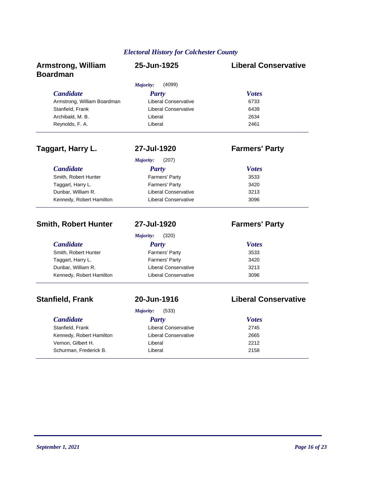| <b>Armstrong, William</b><br><b>Boardman</b> | 25-Jun-1925                 | <b>Liberal Conservative</b> |
|----------------------------------------------|-----------------------------|-----------------------------|
|                                              | Majority:<br>(4099)         |                             |
| <b>Candidate</b>                             | <b>Party</b>                | <b>Votes</b>                |
| Armstrong, William Boardman                  | <b>Liberal Conservative</b> | 6733                        |
| Stanfield, Frank                             | <b>Liberal Conservative</b> | 6439                        |
| Archibald, M. B.                             | Liberal                     | 2634                        |
| Reynolds, F. A.                              | Liberal                     | 2461                        |
| Taggart, Harry L.                            | 27-Jul-1920                 | <b>Farmers' Party</b>       |
|                                              | (207)<br>Majority:          |                             |
| <b>Candidate</b>                             | <b>Party</b>                | <b>Votes</b>                |
| Smith, Robert Hunter                         | Farmers' Party              | 3533                        |
| Taggart, Harry L.                            | Farmers' Party              | 3420                        |
| Dunbar, William R.                           | <b>Liberal Conservative</b> | 3213                        |
| Kennedy, Robert Hamilton                     | <b>Liberal Conservative</b> | 3096                        |
| <b>Smith, Robert Hunter</b>                  | 27-Jul-1920                 | <b>Farmers' Party</b>       |
|                                              | Majority:<br>(320)          |                             |
| <b>Candidate</b>                             | <b>Party</b>                | <b>Votes</b>                |
| Smith, Robert Hunter                         | Farmers' Party              | 3533                        |
| Taggart, Harry L.                            | Farmers' Party              | 3420                        |
| Dunbar, William R.                           | <b>Liberal Conservative</b> | 3213                        |
| Kennedy, Robert Hamilton                     | Liberal Conservative        | 3096                        |
| <b>Stanfield, Frank</b>                      | 20-Jun-1916                 | <b>Liberal Conservative</b> |
|                                              | Majority:<br>(533)          |                             |
| <b>Candidate</b>                             | <b>Party</b>                | <b>Votes</b>                |
| Stanfield, Frank                             | <b>Liberal Conservative</b> | 2745                        |
| Kennedy, Robert Hamilton                     | <b>Liberal Conservative</b> | 2665                        |
| Vernon, Gilbert H.                           | Liberal                     | 2212                        |

Schurman, Frederick B. New York Liberal 2158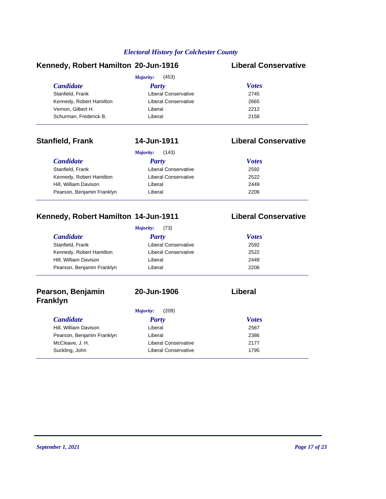#### **Kennedy, Robert Hamilton 20-Jun-1916 Liberal Conservative**

|                          | (453)<br>Majority:   |              |  |
|--------------------------|----------------------|--------------|--|
| <b>Candidate</b>         | <b>Party</b>         | <b>Votes</b> |  |
| Stanfield, Frank         | Liberal Conservative | 2745         |  |
| Kennedy, Robert Hamilton | Liberal Conservative | 2665         |  |
| Vernon, Gilbert H.       | Liberal              | 2212         |  |
| Schurman, Frederick B.   | Liberal              | 2158         |  |

### **Stanfield, Frank 14-Jun-1911 Liberal Conservative**

|                            | (143)<br>Majority:          |              |
|----------------------------|-----------------------------|--------------|
| <i>Candidate</i>           | Party                       | <b>Votes</b> |
| Stanfield, Frank           | <b>Liberal Conservative</b> | 2592         |
| Kennedy, Robert Hamilton   | <b>Liberal Conservative</b> | 2522         |
| Hill, William Davison      | Liberal                     | 2449         |
| Pearson, Benjamin Franklyn | Liberal                     | 2206         |

### **Kennedy, Robert Hamilton 14-Jun-1911 Liberal Conservative**

#### *Candidate Party Votes Majority:* (73) Stanfield, Frank **Example 2592** Liberal Conservative 2592 Kennedy, Robert Hamilton Liberal Conservative 2522 Hill, William Davison Liberal 2449 Pearson, Benjamin Franklyn Liberal Liberal 2206

### **Pearson, Benjamin Franklyn**

### **20-Jun-1906 Liberal**

#### *Candidate Party Votes Majority:* (209) Hill, William Davison Liberal 2567 Pearson, Benjamin Franklyn Liberal Liberal 2386 McCleave, J. H. Liberal Conservative 2177 Suckling, John **Liberal Conservative** 1795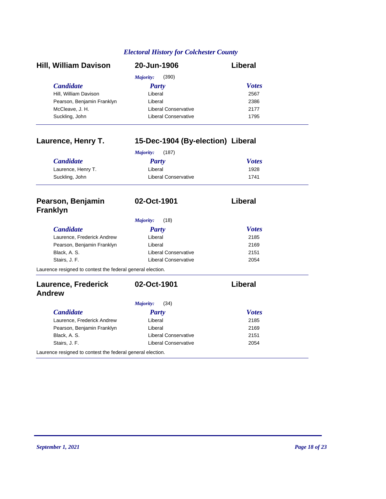| <b>Hill, William Davison</b> | 20-Jun-1906                 | Liberal      |
|------------------------------|-----------------------------|--------------|
|                              | (390)<br>Majority:          |              |
| <b>Candidate</b>             | <b>Party</b>                | <b>Votes</b> |
| Hill, William Davison        | Liberal                     | 2567         |
| Pearson, Benjamin Franklyn   | Liberal                     | 2386         |
| McCleave, J. H.              | Liberal Conservative        | 2177         |
| Suckling, John               | <b>Liberal Conservative</b> | 1795         |

| Laurence, Henry T.                                         | 15-Dec-1904 (By-election) Liberal |                |  |
|------------------------------------------------------------|-----------------------------------|----------------|--|
|                                                            | Majority:<br>(187)                |                |  |
| <b>Candidate</b>                                           | <b>Party</b>                      | <b>Votes</b>   |  |
| Laurence, Henry T.                                         | Liberal                           | 1928           |  |
| Suckling, John                                             | <b>Liberal Conservative</b>       | 1741           |  |
| Pearson, Benjamin<br><b>Franklyn</b>                       | 02-Oct-1901                       | Liberal        |  |
|                                                            | Majority:<br>(18)                 |                |  |
| <b>Candidate</b>                                           | Party                             | <b>Votes</b>   |  |
| Laurence, Frederick Andrew                                 | Liberal                           | 2185           |  |
| Pearson, Benjamin Franklyn                                 | Liberal                           | 2169           |  |
| Black, A. S.                                               | <b>Liberal Conservative</b>       | 2151           |  |
| Stairs, J. F.                                              | <b>Liberal Conservative</b>       | 2054           |  |
| Laurence resigned to contest the federal general election. |                                   |                |  |
| <b>Laurence, Frederick</b>                                 | 02-Oct-1901                       | <b>Liberal</b> |  |
| <b>Andrew</b>                                              |                                   |                |  |
|                                                            | (34)<br>Majority:                 |                |  |
| <b>Candidate</b>                                           | Party                             | <b>Votes</b>   |  |
| Laurence, Frederick Andrew                                 | Liberal                           | 2185           |  |
| Pearson, Benjamin Franklyn                                 | Liberal                           | 2169           |  |
| Black, A. S.                                               | <b>Liberal Conservative</b>       | 2151           |  |

Stairs, J. F. 2054

Laurence resigned to contest the federal general election.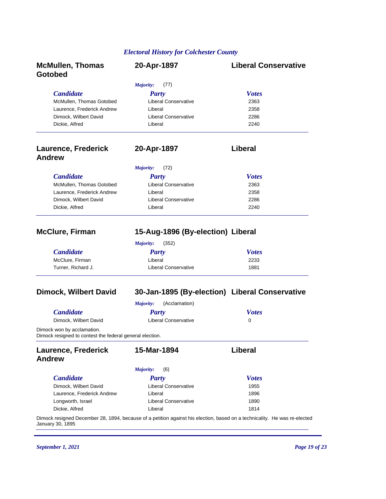| <b>McMullen, Thomas</b><br>Gotobed                                                     | 20-Apr-1897                                                                                                               | <b>Liberal Conservative</b> |
|----------------------------------------------------------------------------------------|---------------------------------------------------------------------------------------------------------------------------|-----------------------------|
|                                                                                        | Majority:<br>(77)                                                                                                         |                             |
| <b>Candidate</b>                                                                       | <b>Party</b>                                                                                                              | <b>Votes</b>                |
| McMullen, Thomas Gotobed                                                               | <b>Liberal Conservative</b>                                                                                               | 2363                        |
| Laurence, Frederick Andrew                                                             | Liberal                                                                                                                   | 2358                        |
| Dimock, Wilbert David                                                                  | <b>Liberal Conservative</b>                                                                                               | 2286                        |
| Dickie, Alfred                                                                         | Liberal                                                                                                                   | 2240                        |
| <b>Laurence, Frederick</b><br><b>Andrew</b>                                            | 20-Apr-1897                                                                                                               | Liberal                     |
|                                                                                        | Majority:<br>(72)                                                                                                         |                             |
| <b>Candidate</b>                                                                       | <b>Party</b>                                                                                                              | <b>Votes</b>                |
| McMullen, Thomas Gotobed                                                               | <b>Liberal Conservative</b>                                                                                               | 2363                        |
| Laurence, Frederick Andrew                                                             | Liberal                                                                                                                   | 2358                        |
| Dimock, Wilbert David                                                                  | <b>Liberal Conservative</b>                                                                                               | 2286                        |
| Dickie, Alfred                                                                         | Liberal                                                                                                                   | 2240                        |
| <b>McClure, Firman</b>                                                                 | 15-Aug-1896 (By-election) Liberal                                                                                         |                             |
|                                                                                        | Majority:<br>(352)                                                                                                        |                             |
| <b>Candidate</b>                                                                       | <b>Party</b>                                                                                                              | <b>Votes</b>                |
| McClure, Firman                                                                        | Liberal                                                                                                                   | 2233                        |
| Turner, Richard J.                                                                     | <b>Liberal Conservative</b>                                                                                               | 1881                        |
| <b>Dimock, Wilbert David</b>                                                           | 30-Jan-1895 (By-election) Liberal Conservative                                                                            |                             |
|                                                                                        | <b>Majority:</b><br>(Acclamation)                                                                                         |                             |
| <b>Candidate</b>                                                                       | <b>Party</b>                                                                                                              | <b>Votes</b>                |
| Dimock, Wilbert David                                                                  | <b>Liberal Conservative</b>                                                                                               | 0                           |
| Dimock won by acclamation.<br>Dimock resigned to contest the federal general election. |                                                                                                                           |                             |
| <b>Laurence, Frederick</b>                                                             | 15-Mar-1894                                                                                                               | Liberal                     |
| <b>Andrew</b>                                                                          |                                                                                                                           |                             |
|                                                                                        | Majority:<br>(6)                                                                                                          |                             |
| <b>Candidate</b>                                                                       | <b>Party</b>                                                                                                              | <b>Votes</b>                |
| Dimock, Wilbert David                                                                  | Liberal Conservative                                                                                                      | 1955                        |
| Laurence, Frederick Andrew                                                             | Liberal                                                                                                                   | 1896                        |
| Longworth, Israel                                                                      | <b>Liberal Conservative</b>                                                                                               | 1890                        |
| Dickie, Alfred                                                                         | Liberal                                                                                                                   | 1814                        |
| January 30, 1895                                                                       | Dimock resigned December 28, 1894, because of a petition against his election, based on a technicality. He was re-elected |                             |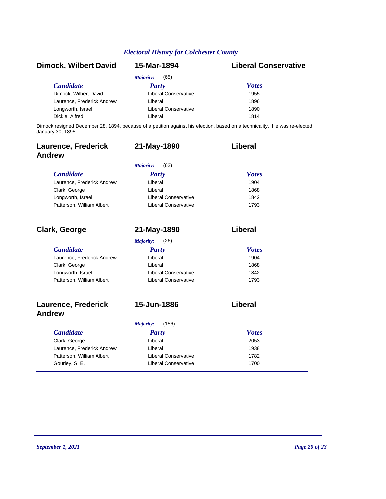| <b>Dimock, Wilbert David</b> | 15-Mar-1894                 | <b>Liberal Conservative</b>                                                                                               |
|------------------------------|-----------------------------|---------------------------------------------------------------------------------------------------------------------------|
|                              | (65)<br>Majority:           |                                                                                                                           |
| <b>Candidate</b>             | Party                       | <b>Votes</b>                                                                                                              |
| Dimock, Wilbert David        | Liberal Conservative        | 1955                                                                                                                      |
| Laurence, Frederick Andrew   | Liberal                     | 1896                                                                                                                      |
| Longworth, Israel            | <b>Liberal Conservative</b> | 1890                                                                                                                      |
| Dickie, Alfred               | Liberal                     | 1814                                                                                                                      |
| January 30, 1895             |                             | Dimock resigned December 28, 1894, because of a petition against his election, based on a technicality. He was re-elected |

| <b>Laurence, Frederick</b><br><b>Andrew</b> | 21-May-1890                 | Liberal      |
|---------------------------------------------|-----------------------------|--------------|
|                                             | (62)<br>Majority:           |              |
| <b>Candidate</b>                            | Party                       | <b>Votes</b> |
| Laurence, Frederick Andrew                  | Liberal                     | 1904         |
| Clark, George                               | Liberal                     | 1868         |
| Longworth, Israel                           | <b>Liberal Conservative</b> | 1842         |
| Patterson, William Albert                   | <b>Liberal Conservative</b> | 1793         |
| <b>Clark, George</b>                        | 21-May-1890                 | Liberal      |
|                                             | Majority:<br>(26)           |              |
| <b>Candidate</b>                            | <b>Party</b>                | <b>Votes</b> |
| Laurence, Frederick Andrew                  | Liberal                     | 1904         |
| Clark, George                               | Liberal                     | 1868         |
| Longworth, Israel                           | <b>Liberal Conservative</b> | 1842         |
| Patterson, William Albert                   | <b>Liberal Conservative</b> | 1793         |
| <b>Laurence, Frederick</b><br><b>Andrew</b> | 15-Jun-1886                 | Liberal      |
|                                             | (156)<br>Majority:          |              |
| <b>Candidate</b>                            | <b>Party</b>                | <b>Votes</b> |
| Clark, George                               | Liberal                     | 2053         |
| Laurence, Frederick Andrew                  | Liberal                     | 1938         |
| Patterson, William Albert                   | <b>Liberal Conservative</b> | 1782         |
| Gourley, S. E.                              | <b>Liberal Conservative</b> | 1700         |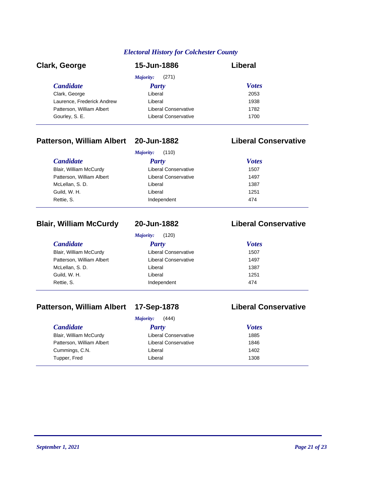| <b>Clark, George</b>       | 15-Jun-1886                 | Liberal      |  |
|----------------------------|-----------------------------|--------------|--|
|                            | (271)<br>Majority:          |              |  |
| <b>Candidate</b>           | Party                       | <b>Votes</b> |  |
| Clark, George              | Liberal                     | 2053         |  |
| Laurence, Frederick Andrew | Liberal                     | 1938         |  |
| Patterson, William Albert  | Liberal Conservative        | 1782         |  |
| Gourley, S. E.             | <b>Liberal Conservative</b> | 1700         |  |

### **Patterson, William Albert 20-Jun-1882 Liberal Conservative**

| Majority:<br>(110)        |                             |              |
|---------------------------|-----------------------------|--------------|
| <i>Candidate</i>          | <b>Party</b>                | <b>Votes</b> |
| Blair, William McCurdy    | <b>Liberal Conservative</b> | 1507         |
| Patterson, William Albert | <b>Liberal Conservative</b> | 1497         |
| McLellan, S.D.            | Liberal                     | 1387         |
| Guild, W. H.              | Liberal                     | 1251         |
| Rettie, S.                | Independent                 | 474          |

### **Blair, William McCurdy 20-Jun-1882 Liberal Conservative**

*Majority:* (120)

| <b>Candidate</b>          | Party                       | <b>Votes</b> |
|---------------------------|-----------------------------|--------------|
| Blair, William McCurdy    | <b>Liberal Conservative</b> | 1507         |
| Patterson, William Albert | <b>Liberal Conservative</b> | 1497         |
| McLellan, S.D.            | Liberal                     | 1387         |
| Guild, W. H.              | Liberal                     | 1251         |
| Rettie, S.                | Independent                 | 474          |
|                           |                             |              |

# **Patterson, William Albert 17-Sep-1878 Liberal Conservative**

| (444)<br><b>Majority:</b> |  |
|---------------------------|--|
|---------------------------|--|

| <i>Candidate</i>          | 1111101111<br>, , , , ,<br>Party | <b>Votes</b> |  |
|---------------------------|----------------------------------|--------------|--|
| Blair, William McCurdy    | <b>Liberal Conservative</b>      | 1885         |  |
| Patterson, William Albert | <b>Liberal Conservative</b>      | 1846         |  |
|                           |                                  | 1402         |  |
| Cummings, C.N.            | Liberal                          |              |  |
| Tupper, Fred              | Liberal                          | 1308         |  |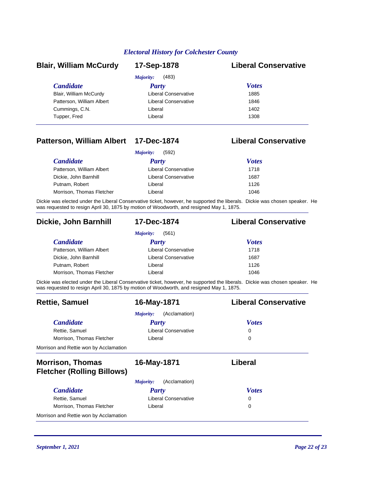| <b>Blair, William McCurdy</b> | 17-Sep-1878                 | <b>Liberal Conservative</b> |
|-------------------------------|-----------------------------|-----------------------------|
|                               | (483)<br>Majority:          |                             |
| <b>Candidate</b>              | <b>Party</b>                | <b>Votes</b>                |
| Blair, William McCurdy        | <b>Liberal Conservative</b> | 1885                        |
| Patterson, William Albert     | Liberal Conservative        | 1846                        |
| Cummings, C.N.                | Liberal                     | 1402                        |
| Tupper, Fred                  | Liberal                     | 1308                        |

### **Patterson, William Albert 17-Dec-1874 Liberal Conservative**

| (592)<br><i>Majority:</i> |                      |              |
|---------------------------|----------------------|--------------|
| <i>Candidate</i>          | Party                | <b>Votes</b> |
| Patterson, William Albert | Liberal Conservative | 1718         |
| Dickie, John Barnhill     | Liberal Conservative | 1687         |
| Putnam, Robert            | Liberal              | 1126         |
| Morrison, Thomas Fletcher | Liberal              | 1046         |

Dickie was elected under the Liberal Conservative ticket, however, he supported the liberals. Dickie was chosen speaker. He was requested to resign April 30, 1875 by motion of Woodworth, and resigned May 1, 1875.

#### **Dickie, John Barnhill 17-Dec-1874 Liberal Conservative**

| (561)<br><i>Majority:</i> |                      |              |
|---------------------------|----------------------|--------------|
| <i>Candidate</i>          | <b>Party</b>         | <b>Votes</b> |
| Patterson, William Albert | Liberal Conservative | 1718         |
| Dickie, John Barnhill     | Liberal Conservative | 1687         |
| Putnam, Robert            | Liberal              | 1126         |
| Morrison, Thomas Fletcher | Liberal              | 1046         |

Dickie was elected under the Liberal Conservative ticket, however, he supported the liberals. Dickie was chosen speaker. He was requested to resign April 30, 1875 by motion of Woodworth, and resigned May 1, 1875.

| <b>Rettie, Samuel</b>                                        | 16-May-1871                | <b>Liberal Conservative</b> |
|--------------------------------------------------------------|----------------------------|-----------------------------|
|                                                              | (Acclamation)<br>Majority: |                             |
| <b>Candidate</b>                                             | Party                      | <b>Votes</b>                |
| Rettie, Samuel                                               | Liberal Conservative       | 0                           |
| Morrison, Thomas Fletcher                                    | Liberal                    | 0                           |
| Morrison and Rettie won by Acclamation                       |                            |                             |
| <b>Morrison, Thomas</b><br><b>Fletcher (Rolling Billows)</b> | 16-May-1871                | Liberal                     |
|                                                              | (Acclamation)<br>Majority: |                             |
| <b>Candidate</b>                                             | Party                      | <b>Votes</b>                |
| Rettie, Samuel                                               | Liberal Conservative       | 0                           |
| Morrison, Thomas Fletcher                                    | Liberal                    | 0                           |
| Morrison and Rettie won by Acclamation                       |                            |                             |